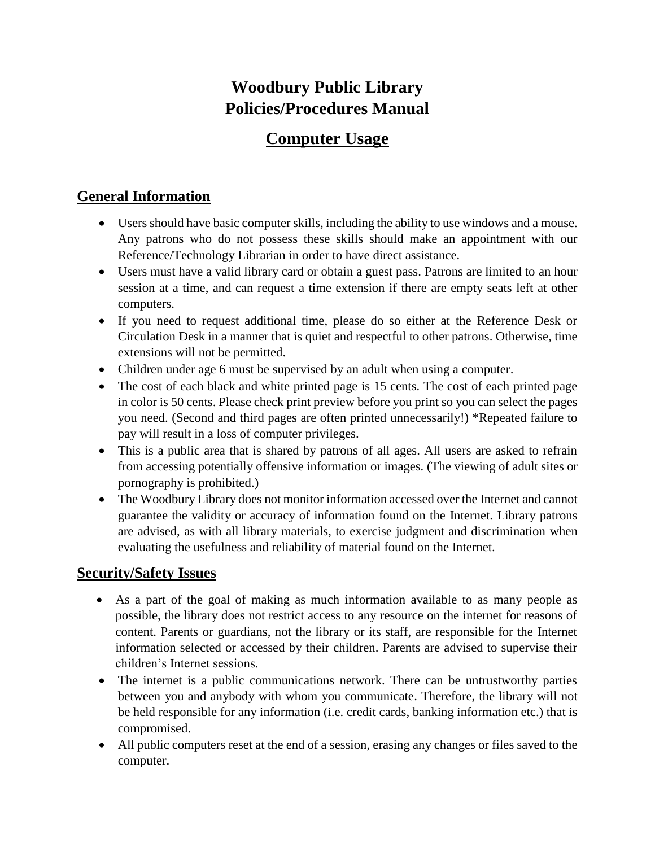## **Woodbury Public Library Policies/Procedures Manual**

# **Computer Usage**

### **General Information**

- Users should have basic computer skills, including the ability to use windows and a mouse. Any patrons who do not possess these skills should make an appointment with our Reference/Technology Librarian in order to have direct assistance.
- Users must have a valid library card or obtain a guest pass. Patrons are limited to an hour session at a time, and can request a time extension if there are empty seats left at other computers.
- If you need to request additional time, please do so either at the Reference Desk or Circulation Desk in a manner that is quiet and respectful to other patrons. Otherwise, time extensions will not be permitted.
- Children under age 6 must be supervised by an adult when using a computer.
- The cost of each black and white printed page is 15 cents. The cost of each printed page in color is 50 cents. Please check print preview before you print so you can select the pages you need. (Second and third pages are often printed unnecessarily!) \*Repeated failure to pay will result in a loss of computer privileges.
- This is a public area that is shared by patrons of all ages. All users are asked to refrain from accessing potentially offensive information or images. (The viewing of adult sites or pornography is prohibited.)
- The Woodbury Library does not monitor information accessed over the Internet and cannot guarantee the validity or accuracy of information found on the Internet. Library patrons are advised, as with all library materials, to exercise judgment and discrimination when evaluating the usefulness and reliability of material found on the Internet.

### **Security/Safety Issues**

- As a part of the goal of making as much information available to as many people as possible, the library does not restrict access to any resource on the internet for reasons of content. Parents or guardians, not the library or its staff, are responsible for the Internet information selected or accessed by their children. Parents are advised to supervise their children's Internet sessions.
- The internet is a public communications network. There can be untrustworthy parties between you and anybody with whom you communicate. Therefore, the library will not be held responsible for any information (i.e. credit cards, banking information etc.) that is compromised.
- All public computers reset at the end of a session, erasing any changes or files saved to the computer.